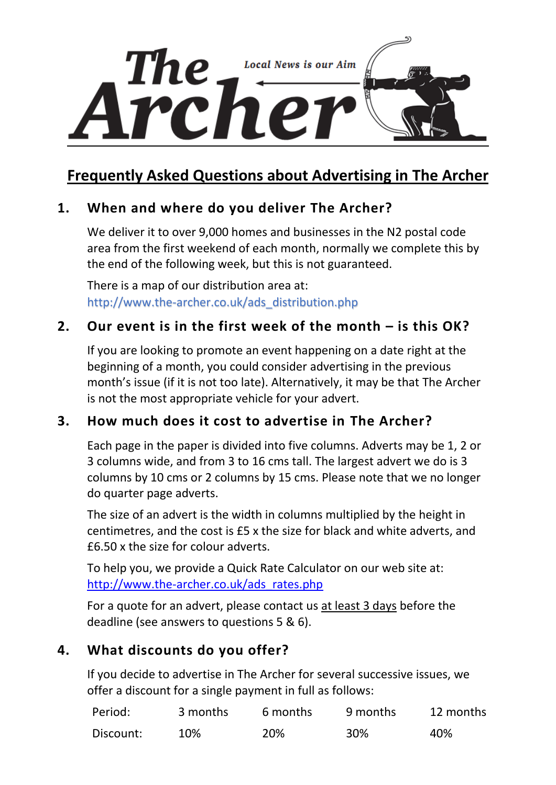

# **Frequently Asked Questions about Advertising in The Archer**

# **1. When and where do you deliver The Archer?**

We deliver it to over 9,000 homes and businesses in the N2 postal code area from the first weekend of each month, normally we complete this by the end of the following week, but this is not guaranteed.

There is a map of our distribution area at: [http://www.the-archer.co.uk/ads\\_distribution.php](http://www.the-archer.co.uk/ads_distribution.php)

### **2. Our event is in the first week of the month – is this OK?**

If you are looking to promote an event happening on a date right at the beginning of a month, you could consider advertising in the previous month's issue (if it is not too late). Alternatively, it may be that The Archer is not the most appropriate vehicle for your advert.

### **3. How much does it cost to advertise in The Archer?**

Each page in the paper is divided into five columns. Adverts may be 1, 2 or 3 columns wide, and from 3 to 16 cms tall. The largest advert we do is 3 columns by 10 cms or 2 columns by 15 cms. Please note that we no longer do quarter page adverts.

The size of an advert is the width in columns multiplied by the height in centimetres, and the cost is £5 x the size for black and white adverts, and £6.50 x the size for colour adverts.

To help you, we provide a Quick Rate Calculator on our web site at: [http://www.the-archer.co.uk/ads\\_rates.php](http://www.the-archer.co.uk/ads_rates.php)

For a quote for an advert, please contact us at least 3 days before the deadline (see answers to questions 5 & 6).

# **4. What discounts do you offer?**

If you decide to advertise in The Archer for several successive issues, we offer a discount for a single payment in full as follows:

| Period:   | 3 months | 6 months | 9 months | 12 months |
|-----------|----------|----------|----------|-----------|
| Discount: | 10%      | 20%      | 30%      | 40%       |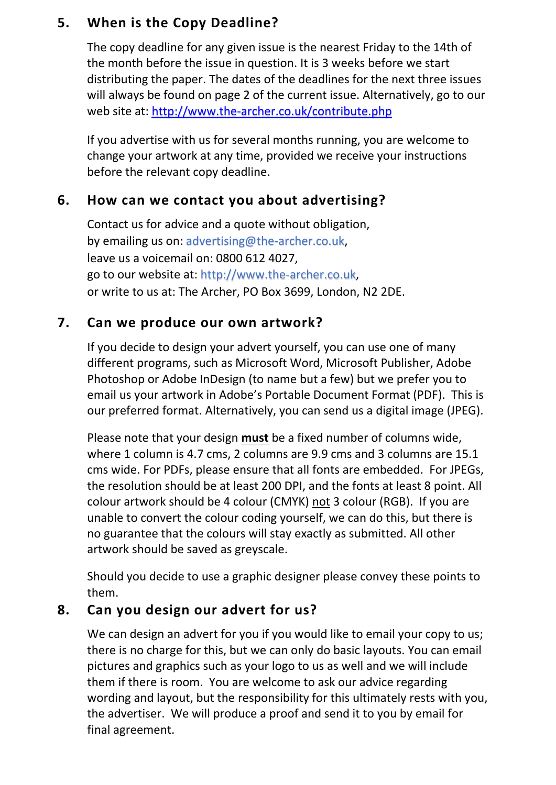# **5. When is the Copy Deadline?**

The copy deadline for any given issue is the nearest Friday to the 14th of the month before the issue in question. It is 3 weeks before we start distributing the paper. The dates of the deadlines for the next three issues will always be found on page 2 of the current issue. Alternatively, go to our web site at:<http://www.the-archer.co.uk/contribute.php>

If you advertise with us for several months running, you are welcome to change your artwork at any time, provided we receive your instructions before the relevant copy deadline.

# **6. How can we contact you about advertising?**

Contact us for advice and a quote without obligation, by emailing us on: [advertising@the-archer.co.uk,](https://d.docs.live.net/65c45c2f98be48ad/VolatileData/The%20Archer/Advertising/Handouts/New%20Guide/advertising@the-archer.co.uk) leave us a voicemail on: 0800 612 4027, go to our website at: [http://www.the-archer.co.uk,](http://www.the-archer.co.uk/) or write to us at: The Archer, PO Box 3699, London, N2 2DE.

# **7. Can we produce our own artwork?**

If you decide to design your advert yourself, you can use one of many different programs, such as Microsoft Word, Microsoft Publisher, Adobe Photoshop or Adobe InDesign (to name but a few) but we prefer you to email us your artwork in Adobe's Portable Document Format (PDF). This is our preferred format. Alternatively, you can send us a digital image (JPEG).

Please note that your design **must** be a fixed number of columns wide, where 1 column is 4.7 cms, 2 columns are 9.9 cms and 3 columns are 15.1 cms wide. For PDFs, please ensure that all fonts are embedded. For JPEGs, the resolution should be at least 200 DPI, and the fonts at least 8 point. All colour artwork should be 4 colour (CMYK) not 3 colour (RGB). If you are unable to convert the colour coding yourself, we can do this, but there is no guarantee that the colours will stay exactly as submitted. All other artwork should be saved as greyscale.

Should you decide to use a graphic designer please convey these points to them.

# **8. Can you design our advert for us?**

We can design an advert for you if you would like to email your copy to us; there is no charge for this, but we can only do basic layouts. You can email pictures and graphics such as your logo to us as well and we will include them if there is room. You are welcome to ask our advice regarding wording and layout, but the responsibility for this ultimately rests with you, the advertiser. We will produce a proof and send it to you by email for final agreement.